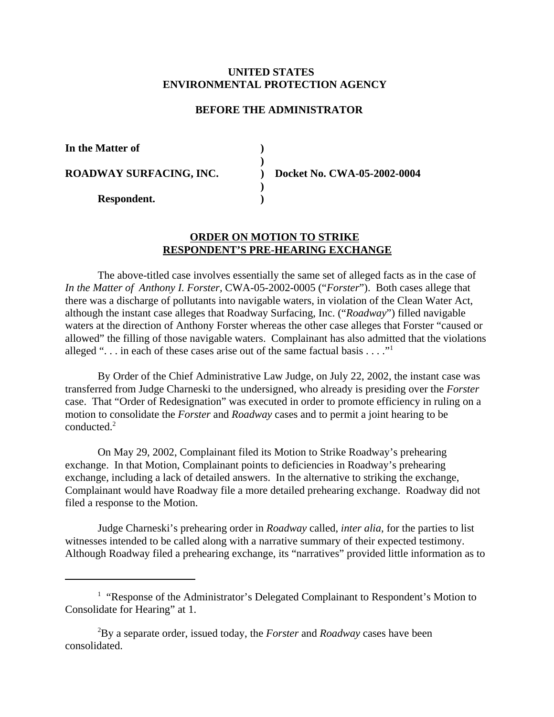## **UNITED STATES ENVIRONMENTAL PROTECTION AGENCY**

## **BEFORE THE ADMINISTRATOR**

**) )**

**) )**

**In the Matter of** 

**ROADWAY SURFACING, INC.** 

**Respondent.** 

**) Docket No. CWA-05-2002-0004**

## **ORDER ON MOTION TO STRIKE RESPONDENT'S PRE-HEARING EXCHANGE**

The above-titled case involves essentially the same set of alleged facts as in the case of *In the Matter of Anthony I. Forster,* CWA-05-2002-0005 ("*Forster*"). Both cases allege that there was a discharge of pollutants into navigable waters, in violation of the Clean Water Act, although the instant case alleges that Roadway Surfacing, Inc. ("*Roadway*") filled navigable waters at the direction of Anthony Forster whereas the other case alleges that Forster "caused or allowed" the filling of those navigable waters. Complainant has also admitted that the violations alleged " $\ldots$  in each of these cases arise out of the same factual basis  $\ldots$ ."

By Order of the Chief Administrative Law Judge, on July 22, 2002, the instant case was transferred from Judge Charneski to the undersigned, who already is presiding over the *Forster*  case. That "Order of Redesignation" was executed in order to promote efficiency in ruling on a motion to consolidate the *Forster* and *Roadway* cases and to permit a joint hearing to be conducted.2

On May 29, 2002, Complainant filed its Motion to Strike Roadway's prehearing exchange. In that Motion, Complainant points to deficiencies in Roadway's prehearing exchange, including a lack of detailed answers. In the alternative to striking the exchange, Complainant would have Roadway file a more detailed prehearing exchange. Roadway did not filed a response to the Motion.

Judge Charneski's prehearing order in *Roadway* called, *inter alia,* for the parties to list witnesses intended to be called along with a narrative summary of their expected testimony. Although Roadway filed a prehearing exchange, its "narratives" provided little information as to

<sup>&</sup>lt;sup>1</sup> "Response of the Administrator's Delegated Complainant to Respondent's Motion to Consolidate for Hearing" at 1.

<sup>2</sup> By a separate order, issued today, the *Forster* and *Roadway* cases have been consolidated.